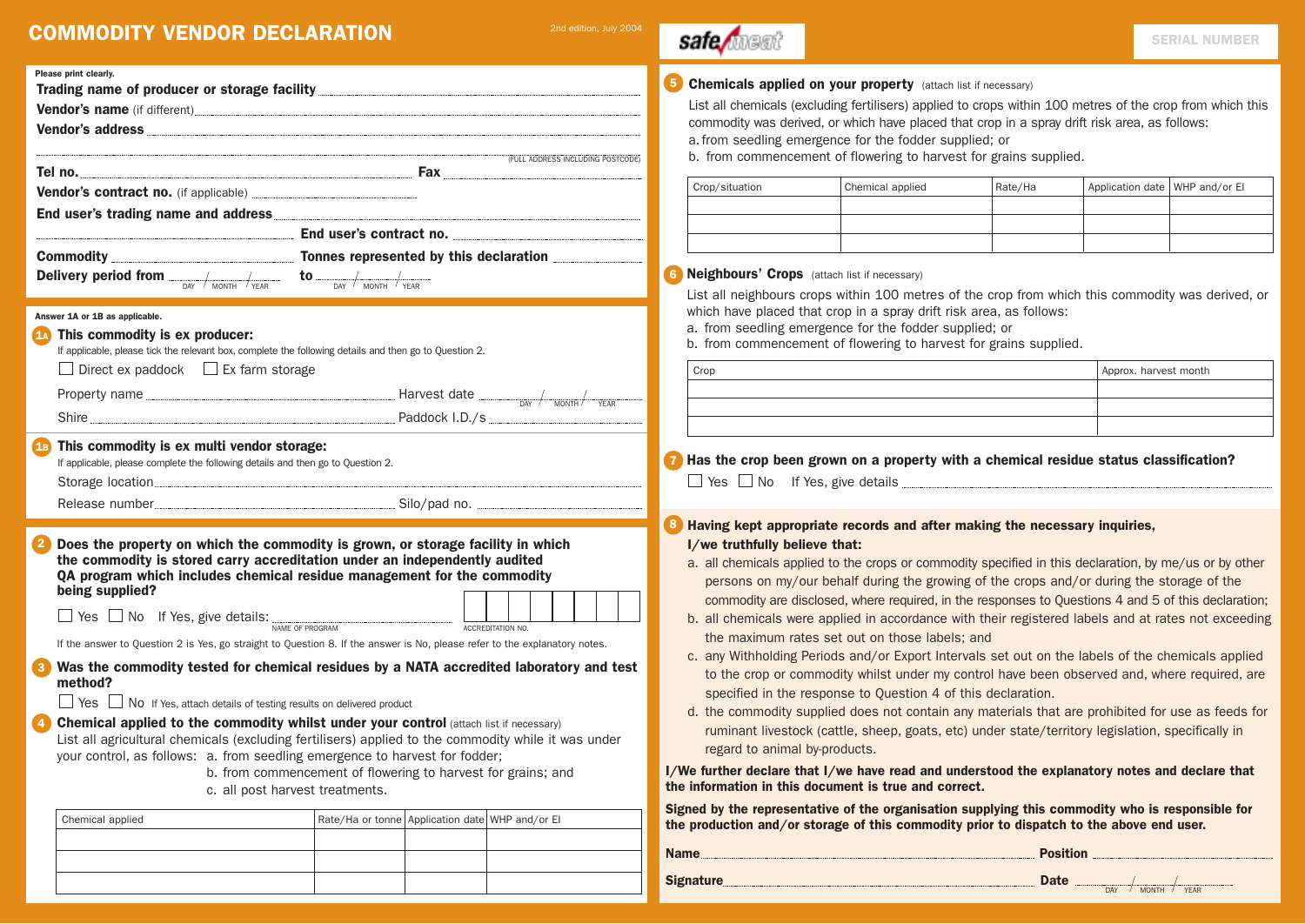# **COMMODITY VENDOR DECLARATION** 2nd edition, July 2004

Vendor's address

Vendor's contract no. (if applicable) End user's trading name and address

Delivery period from  $\frac{1}{\text{N}}$   $\frac{1}{\text{N}}$   $\frac{1}{\text{N}}$   $\frac{1}{\text{N}}$   $\frac{1}{\text{N}}$   $\frac{1}{\text{N}}$   $\frac{1}{\text{N}}$   $\frac{1}{\text{N}}$   $\frac{1}{\text{N}}$   $\frac{1}{\text{N}}$   $\frac{1}{\text{N}}$   $\frac{1}{\text{N}}$ 

If applicable, please tick the relevant box, complete the following details and then go to Question 2.

Property name  $\frac{1}{\sqrt{1-\frac{1}{2}}\sqrt{1-\frac{1}{2}}\left(\frac{1}{2}-\frac{1}{2}\right)}$  Harvest date  $\frac{1}{\sqrt{1-\frac{1}{2}}\left(\frac{1}{2}-\frac{1}{2}\right)}$ 

Release number and the state of the Silo/pad no.

If the answer to Question 2 is Yes, go straight to Question 8. If the answer is No, please refer to the explanatory notes. 3 Was the commodity tested for chemical residues by a NATA accredited laboratory and test

List all agricultural chemicals (excluding fertilisers) applied to the commodity while it was under

b. from commencement of flowering to harvest for grains; and

2 Does the property on which the commodity is grown, or storage facility in which the commodity is stored carry accreditation under an independently audited QA program which includes chemical residue management for the commodity

 $\mathsf{Yes} \ \sqcup \ \mathsf{No} \ \ \ \mathsf{If} \ \mathsf{Yes}, \ \mathsf{give} \ \mathsf{details:} \lim_{\mathsf{NAME} \ \mathsf{OF} \ \mathsf{PROGRAM}} \ \ \text{MCF} \ \ \mathsf{ACCREDITATION\ NO.}$ 

4 Chemical applied to the commodity whilst under your control (attach list if necessary)

c. all post harvest treatments.

your control, as follows: a. from seedling emergence to harvest for fodder;

Shire **Paddock I.D./s** 

Trading name of producer or storage facility Vendor's name (if different)

Tel no. Fax **Fax** Fax **Fax** Fax **Fax** Fax **Fax** Fax **Fax** 

End user's contract no. Commodity **Commodity** Tonnes represented by this declaration

Please print clearly.

Answer 1A or 1B as applicable.

being supplied?

method?

**1A** This commodity is ex producer:

Direct ex paddock  $\Box$  Ex farm storage

**1B** This commodity is ex multi vendor storage:

If applicable, please complete the following details and then go to Question 2. Storage location

Yes No If Yes, attach details of testing results on delivered product

(FULL ADDRESS INCLUDING POSTCODE)

|  | ⊶⊶⊷™⊪ ≀¶∨!VI |  |  |  |  | $-1.5$ |  |
|--|--------------|--|--|--|--|--------|--|
|  |              |  |  |  |  |        |  |

| Chemicals applied on your property (attach list if necessary) |  |  |
|---------------------------------------------------------------|--|--|
|                                                               |  |  |

List all chemicals (excluding fertilisers) applied to crops within 100 metres of the crop from which this commodity was derived, or which have placed that crop in a spray drift risk area, as follows: a.from seedling emergence for the fodder supplied; or

b. from commencement of flowering to harvest for grains supplied.

| Crop/situation | Chemical applied | Rate/Ha | Application date   WHP and/or EI |  |
|----------------|------------------|---------|----------------------------------|--|
|                |                  |         |                                  |  |
|                |                  |         |                                  |  |
|                |                  |         |                                  |  |

**6 Neighbours' Crops** (attach list if necessary)

safe/magi

List all neighbours crops within 100 metres of the crop from which this commodity was derived, or which have placed that crop in a spray drift risk area, as follows:

a. from seedling emergence for the fodder supplied; or

b. from commencement of flowering to harvest for grains supplied.

| Crop | Approx. harvest month |
|------|-----------------------|
|      |                       |
|      |                       |
|      |                       |

**7** Has the crop been grown on a property with a chemical residue status classification?

Yes No If Yes, give details

8 Having kept appropriate records and after making the necessary inquiries, I/we truthfully believe that:

- a. all chemicals applied to the crops or commodity specified in this declaration, by me/us or by other persons on my/our behalf during the growing of the crops and/or during the storage of the commodity are disclosed, where required, in the responses to Questions 4 and 5 of this declaration;
- b. all chemicals were applied in accordance with their registered labels and at rates not exceeding the maximum rates set out on those labels; and
- c. any Withholding Periods and/or Export Intervals set out on the labels of the chemicals applied to the crop or commodity whilst under my control have been observed and, where required, are specified in the response to Question 4 of this declaration.
- d. the commodity supplied does not contain any materials that are prohibited for use as feeds for ruminant livestock (cattle, sheep, goats, etc) under state/territory legislation, specifically in regard to animal by-products.

I/We further declare that I/we have read and understood the explanatory notes and declare that the information in this document is true and correct.

Signed by the representative of the organisation supplying this commodity who is responsible for the production and/or storage of this commodity prior to dispatch to the above end user.

| Chemical applied | Rate/Ha or tonne Application date WHP and/or El |  |                  | eighten wird in telephoneman eine eighthen ein aufhörfung eine anthronet min in techniciste<br>the production and/or storage of this commodity prior to dispatch to the above end user. |
|------------------|-------------------------------------------------|--|------------------|-----------------------------------------------------------------------------------------------------------------------------------------------------------------------------------------|
|                  |                                                 |  | <b>Name</b>      | <b>Position</b>                                                                                                                                                                         |
|                  |                                                 |  | <b>Signature</b> | <b>Date</b>                                                                                                                                                                             |
|                  |                                                 |  |                  | / YFAR<br><b>MONTH</b>                                                                                                                                                                  |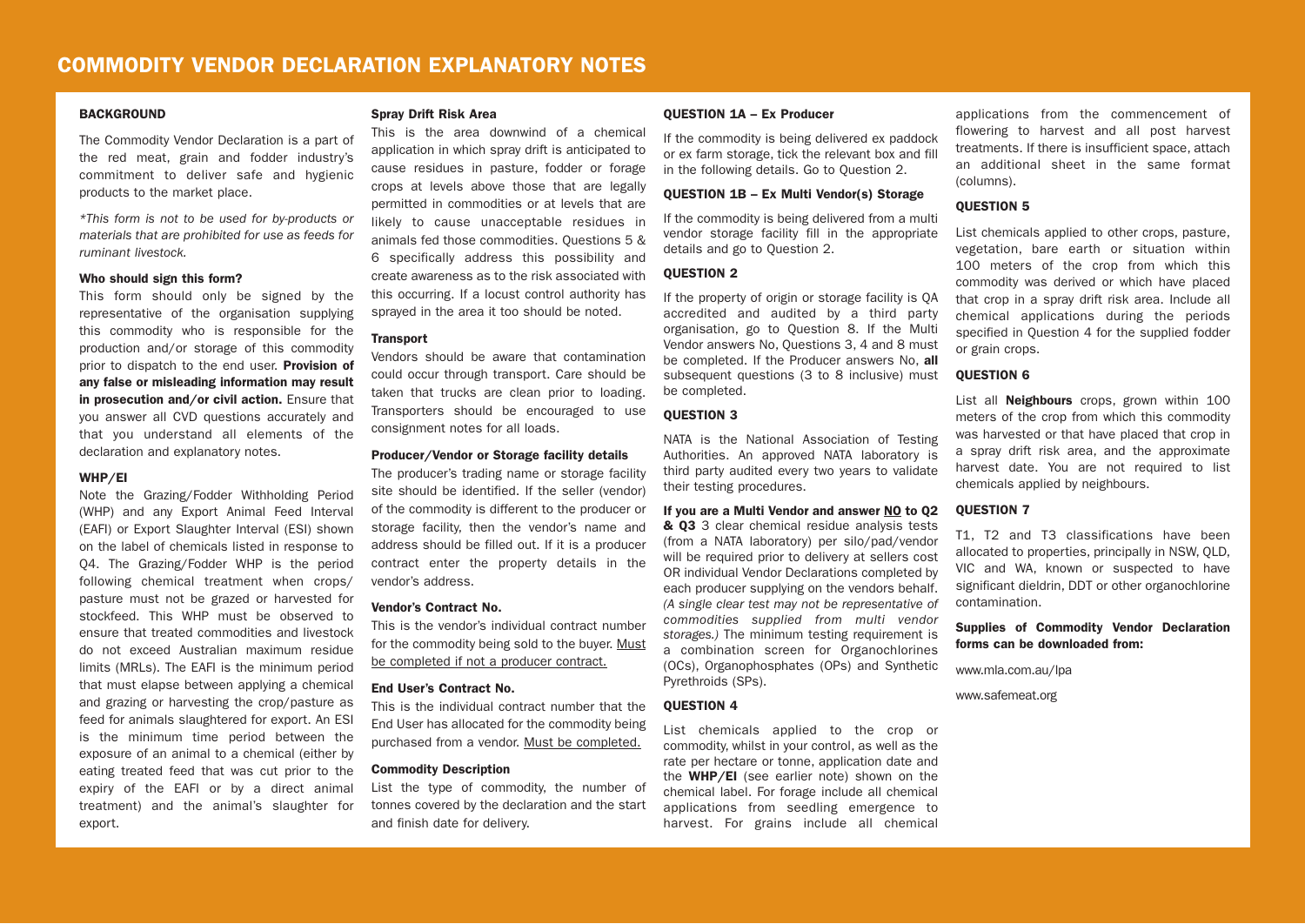#### **BACKGROUND**

The Commodity Vendor Declaration is a part of the red meat, grain and fodder industry's commitment to deliver safe and hygienic products to the market place.

*\*This form is not to be used for by-products or materials that are prohibited for use as feeds for ruminant livestock.*

#### Who should sign this form?

This form should only be signed by the representative of the organisation supplying this commodity who is responsible for the production and/or storage of this commodity prior to dispatch to the end user. **Provision of** any false or misleading information may result in prosecution and/or civil action. Ensure that you answer all CVD questions accurately and that you understand all elements of the declaration and explanatory notes.

#### WHP/EI

Note the Grazing/Fodder Withholding Period (WHP) and any Export Animal Feed Interval (EAFI) or Export Slaughter Interval (ESI) shown on the label of chemicals listed in response to Q4. The Grazing/Fodder WHP is the period following chemical treatment when crops/ pasture must not be grazed or harvested for stockfeed. This WHP must be observed to ensure that treated commodities and livestock do not exceed Australian maximum residue limits (MRLs). The EAFI is the minimum period that must elapse between applying a chemical and grazing or harvesting the crop/pasture as feed for animals slaughtered for export. An ESI is the minimum time period between the exposure of an animal to a chemical (either by eating treated feed that was cut prior to the expiry of the EAFI or by a direct animal treatment) and the animal's slaughter for export.

#### Spray Drift Risk Area

This is the area downwind of a chemical application in which spray drift is anticipated to cause residues in pasture, fodder or forage crops at levels above those that are legally permitted in commodities or at levels that are likely to cause unacceptable residues in animals fed those commodities. Questions 5 & 6 specifically address this possibility and create awareness as to the risk associated with this occurring. If a locust control authority has sprayed in the area it too should be noted.

# **Transport**

Vendors should be aware that contamination could occur through transport. Care should be taken that trucks are clean prior to loading. Transporters should be encouraged to use consignment notes for all loads.

#### Producer/Vendor or Storage facility details

The producer's trading name or storage facility site should be identified. If the seller (vendor) of the commodity is different to the producer or storage facility, then the vendor's name and address should be filled out. If it is a producer contract enter the property details in the vendor's address.

#### Vendor's Contract No.

This is the vendor's individual contract number for the commodity being sold to the buyer. Must be completed if not a producer contract.

## End User's Contract No.

This is the individual contract number that the End User has allocated for the commodity being purchased from a vendor. Must be completed.

#### Commodity Description

List the type of commodity, the number of tonnes covered by the declaration and the start and finish date for delivery.

#### QUESTION 1A – Ex Producer

If the commodity is being delivered ex paddock or ex farm storage, tick the relevant box and fill in the following details. Go to Question 2.

#### QUESTION 1B – Ex Multi Vendor(s) Storage

If the commodity is being delivered from a multi vendor storage facility fill in the appropriate details and go to Question 2.

#### **OUESTION 2**

If the property of origin or storage facility is QA accredited and audited by a third party organisation, go to Question 8. If the Multi Vendor answers No, Questions 3, 4 and 8 must be completed. If the Producer answers No. all subsequent questions (3 to 8 inclusive) must be completed.

# QUESTION 3

NATA is the National Association of Testing Authorities. An approved NATA laboratory is third party audited every two years to validate their testing procedures.

#### If you are a Multi Vendor and answer NO to Q2

& Q3 3 clear chemical residue analysis tests (from a NATA laboratory) per silo/pad/vendor will be required prior to delivery at sellers cost OR individual Vendor Declarations completed by each producer supplying on the vendors behalf. *(A single clear test may not be representative of commodities supplied from multi vendor storages.)* The minimum testing requirement is a combination screen for Organochlorines (OCs), Organophosphates (OPs) and Synthetic Pyrethroids (SPs).

#### **OUESTION 4**

List chemicals applied to the crop or commodity, whilst in your control, as well as the rate per hectare or tonne, application date and the **WHP/EI** (see earlier note) shown on the chemical label. For forage include all chemical applications from seedling emergence to harvest. For grains include all chemical

applications from the commencement of flowering to harvest and all post harvest treatments. If there is insufficient space, attach an additional sheet in the same format (columns).

#### QUESTION 5

List chemicals applied to other crops, pasture, vegetation, bare earth or situation within 100 meters of the crop from which this commodity was derived or which have placed that crop in a spray drift risk area. Include all chemical applications during the periods specified in Question 4 for the supplied fodder or grain crops.

#### QUESTION 6

List all **Neighbours** crops, grown within 100 meters of the crop from which this commodity was harvested or that have placed that crop in a spray drift risk area, and the approximate harvest date. You are not required to list chemicals applied by neighbours.

### **OUESTION 7**

T1, T2 and T3 classifications have been allocated to properties, principally in NSW, QLD, VIC and WA, known or suspected to have significant dieldrin, DDT or other organochlorine contamination.

Supplies of Commodity Vendor Declaration forms can be downloaded from:

www.mla.com.au/lpa

www.safemeat.org